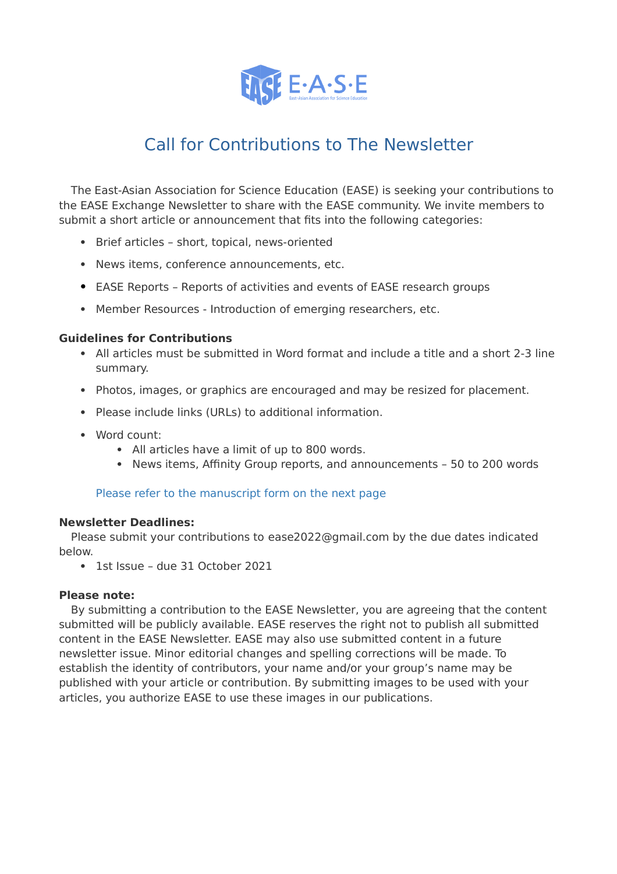

# Call for Contributions to The Newsletter

The East-Asian Association for Science Education (EASE) is seeking your contributions to the EASE Exchange Newsletter to share with the EASE community. We invite members to submit a short article or announcement that fits into the following categories:

- Brief articles short, topical, news-oriented
- News items, conference announcements, etc.
- EASE Reports Reports of activities and events of EASE research groups
- Member Resources Introduction of emerging researchers, etc.

### **Guidelines for Contributions**

- All articles must be submitted in Word format and include a title and a short 2-3 line summary.
- Photos, images, or graphics are encouraged and may be resized for placement.
- Please include links (URLs) to additional information.
- Word count:
	- All articles have a limit of up to 800 words.
	- News items, Affinity Group reports, and announcements 50 to 200 words

### Please refer to the manuscript form on the next page

### **Newsletter Deadlines:**

Please submit your contributions to ease2022@gmail.com by the due dates indicated below.

1st Issue – due 31 October 2021

### **Please note:**

By submitting a contribution to the EASE Newsletter, you are agreeing that the content submitted will be publicly available. EASE reserves the right not to publish all submitted content in the EASE Newsletter. EASE may also use submitted content in a future newsletter issue. Minor editorial changes and spelling corrections will be made. To establish the identity of contributors, your name and/or your group's name may be published with your article or contribution. By submitting images to be used with your articles, you authorize EASE to use these images in our publications.